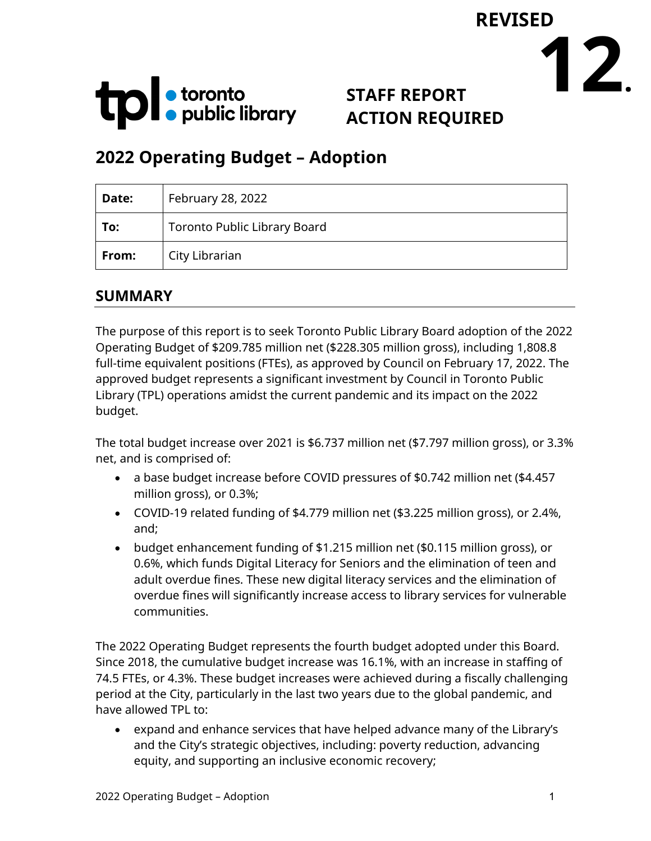

# **STAFF REPORT ACTION REQUIRED**

**12.**

**REVISED**

# **2022 Operating Budget – Adoption**

| Date: | February 28, 2022                   |
|-------|-------------------------------------|
| To:   | <b>Toronto Public Library Board</b> |
| From: | City Librarian                      |

### **SUMMARY**

The purpose of this report is to seek Toronto Public Library Board adoption of the 2022 Operating Budget of \$209.785 million net (\$228.305 million gross), including 1,808.8 full-time equivalent positions (FTEs), as approved by Council on February 17, 2022. The approved budget represents a significant investment by Council in Toronto Public Library (TPL) operations amidst the current pandemic and its impact on the 2022 budget.

The total budget increase over 2021 is \$6.737 million net (\$7.797 million gross), or 3.3% net, and is comprised of:

- a base budget increase before COVID pressures of \$0.742 million net (\$4.457 million gross), or 0.3%;
- COVID-19 related funding of \$4.779 million net (\$3.225 million gross), or 2.4%, and;
- budget enhancement funding of \$1.215 million net (\$0.115 million gross), or 0.6%, which funds Digital Literacy for Seniors and the elimination of teen and adult overdue fines. These new digital literacy services and the elimination of overdue fines will significantly increase access to library services for vulnerable communities.

The 2022 Operating Budget represents the fourth budget adopted under this Board. Since 2018, the cumulative budget increase was 16.1%, with an increase in staffing of 74.5 FTEs, or 4.3%. These budget increases were achieved during a fiscally challenging period at the City, particularly in the last two years due to the global pandemic, and have allowed TPL to:

• expand and enhance services that have helped advance many of the Library's and the City's strategic objectives, including: poverty reduction, advancing equity, and supporting an inclusive economic recovery;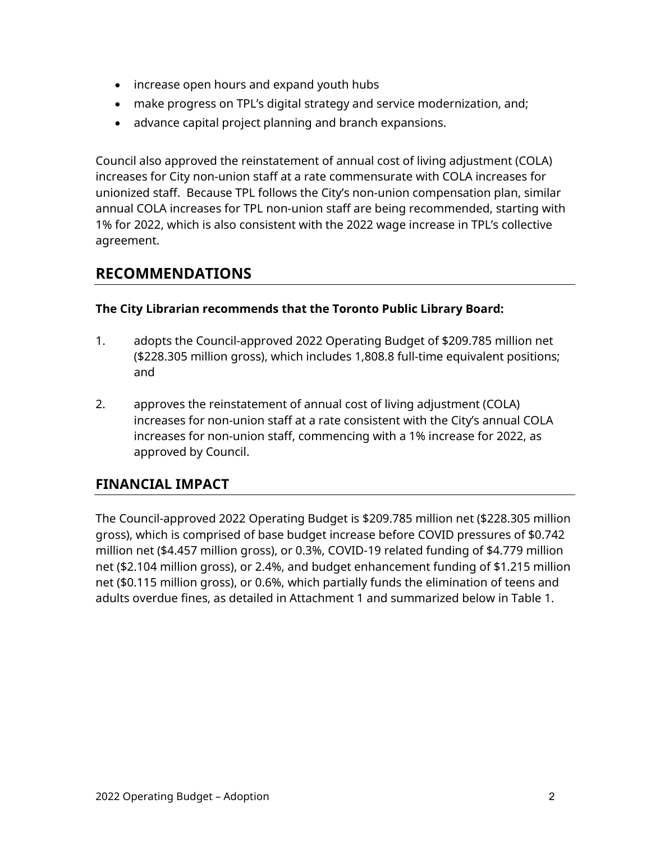- increase open hours and expand youth hubs
- make progress on TPL's digital strategy and service modernization, and;
- advance capital project planning and branch expansions.

Council also approved the reinstatement of annual cost of living adjustment (COLA) increases for City non-union staff at a rate commensurate with COLA increases for unionized staff. Because TPL follows the City's non-union compensation plan, similar annual COLA increases for TPL non-union staff are being recommended, starting with 1% for 2022, which is also consistent with the 2022 wage increase in TPL's collective agreement.

### **RECOMMENDATIONS**

#### **The City Librarian recommends that the Toronto Public Library Board:**

- 1. adopts the Council-approved 2022 Operating Budget of \$209.785 million net (\$228.305 million gross), which includes 1,808.8 full-time equivalent positions; and
- 2. approves the reinstatement of annual cost of living adjustment (COLA) increases for non-union staff at a rate consistent with the City's annual COLA increases for non-union staff, commencing with a 1% increase for 2022, as approved by Council.

### **FINANCIAL IMPACT**

The Council-approved 2022 Operating Budget is \$209.785 million net (\$228.305 million gross), which is comprised of base budget increase before COVID pressures of \$0.742 million net (\$4.457 million gross), or 0.3%, COVID-19 related funding of \$4.779 million net (\$2.104 million gross), or 2.4%, and budget enhancement funding of \$1.215 million net (\$0.115 million gross), or 0.6%, which partially funds the elimination of teens and adults overdue fines, as detailed in Attachment 1 and summarized below in Table 1.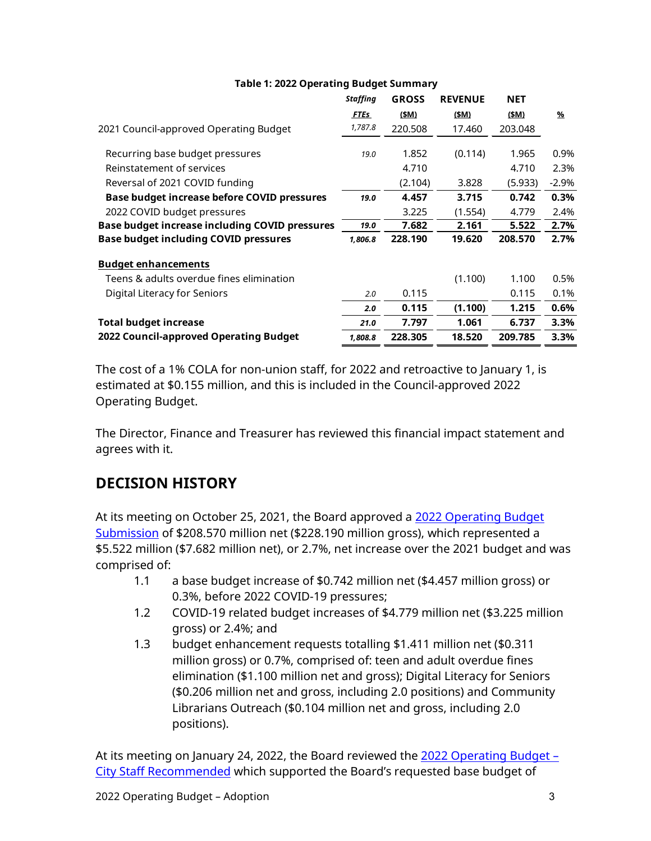|                                                | <b>Staffing</b> | <b>GROSS</b> | <b>REVENUE</b> | <b>NET</b> |               |  |  |
|------------------------------------------------|-----------------|--------------|----------------|------------|---------------|--|--|
|                                                | <b>FTEs</b>     | (\$M)        | (\$M)          | (\$M)      | $\frac{9}{6}$ |  |  |
| 2021 Council-approved Operating Budget         | 1,787.8         | 220.508      | 17.460         | 203.048    |               |  |  |
| Recurring base budget pressures                | 19.0            | 1.852        | (0.114)        | 1.965      | 0.9%          |  |  |
| Reinstatement of services                      |                 | 4.710        |                | 4.710      | 2.3%          |  |  |
| Reversal of 2021 COVID funding                 |                 | (2.104)      | 3.828          | (5.933)    | $-2.9%$       |  |  |
| Base budget increase before COVID pressures    | 19.0            | 4.457        | 3.715          | 0.742      | 0.3%          |  |  |
| 2022 COVID budget pressures                    |                 | 3.225        | (1.554)        | 4.779      | 2.4%          |  |  |
| Base budget increase including COVID pressures |                 | 7.682        | 2.161          | 5.522      | 2.7%          |  |  |
| <b>Base budget including COVID pressures</b>   | 1,806.8         | 228.190      | 19.620         | 208.570    | 2.7%          |  |  |
| <b>Budget enhancements</b>                     |                 |              |                |            |               |  |  |
| Teens & adults overdue fines elimination       |                 |              | (1.100)        | 1.100      | 0.5%          |  |  |
| Digital Literacy for Seniors                   | 2.0             | 0.115        |                | 0.115      | 0.1%          |  |  |
|                                                | 2.0             | 0.115        | (1.100)        | 1.215      | 0.6%          |  |  |
| <b>Total budget increase</b>                   | 21.0            | 7.797        | 1.061          | 6.737      | 3.3%          |  |  |
| 2022 Council-approved Operating Budget         | 1,808.8         | 228.305      | 18.520         | 209.785    | 3.3%          |  |  |
|                                                |                 |              |                |            |               |  |  |

**Table 1: 2022 Operating Budget Summary**

The cost of a 1% COLA for non-union staff, for 2022 and retroactive to January 1, is estimated at \$0.155 million, and this is included in the Council-approved 2022 Operating Budget.

The Director, Finance and Treasurer has reviewed this financial impact statement and agrees with it.

# **DECISION HISTORY**

At its meeting on October 25, 2021, the Board approved a [2022 Operating Budget](https://www.torontopubliclibrary.ca/content/about-the-library/pdfs/board/meetings/2021/oct25/14-2022-operating-budget-submission-combined.pdf)  [Submission](https://www.torontopubliclibrary.ca/content/about-the-library/pdfs/board/meetings/2021/oct25/14-2022-operating-budget-submission-combined.pdf) of \$208.570 million net (\$228.190 million gross), which represented a \$5.522 million (\$7.682 million net), or 2.7%, net increase over the 2021 budget and was comprised of:

- 1.1 a base budget increase of \$0.742 million net (\$4.457 million gross) or 0.3%, before 2022 COVID-19 pressures;
- 1.2 COVID-19 related budget increases of \$4.779 million net (\$3.225 million gross) or 2.4%; and
- 1.3 budget enhancement requests totalling \$1.411 million net (\$0.311 million gross) or 0.7%, comprised of: teen and adult overdue fines elimination (\$1.100 million net and gross); Digital Literacy for Seniors (\$0.206 million net and gross, including 2.0 positions) and Community Librarians Outreach (\$0.104 million net and gross, including 2.0 positions).

At its meeting on January 24, 2022, the Board reviewed the [2022 Operating Budget –](https://www.torontopubliclibrary.ca/content/about-the-library/pdfs/board/meetings/2022/jan24/19-2022-operating-budget-city-staff-recommended-combined.pdf)  [City Staff Recommended](https://www.torontopubliclibrary.ca/content/about-the-library/pdfs/board/meetings/2022/jan24/19-2022-operating-budget-city-staff-recommended-combined.pdf) which supported the Board's requested base budget of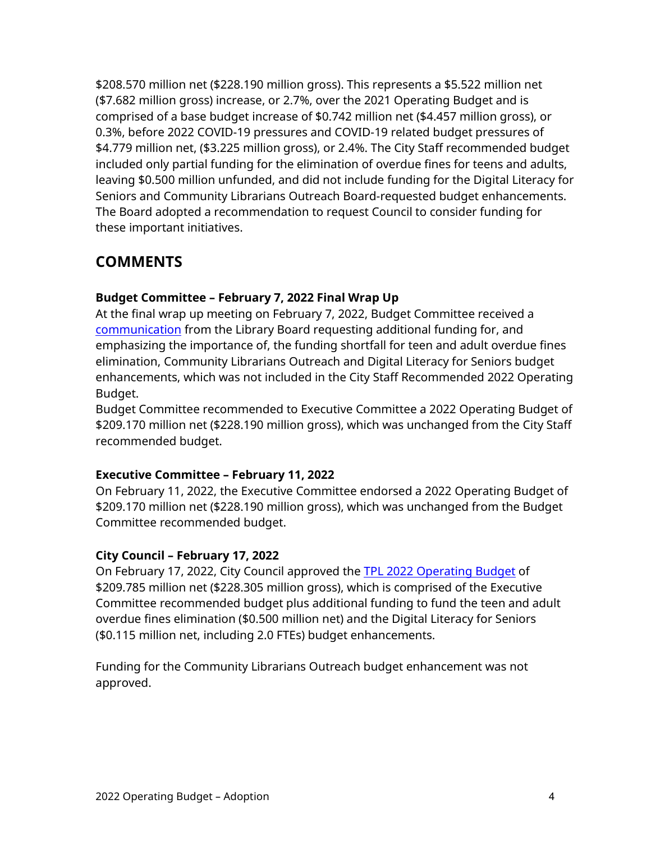\$208.570 million net (\$228.190 million gross). This represents a \$5.522 million net (\$7.682 million gross) increase, or 2.7%, over the 2021 Operating Budget and is comprised of a base budget increase of \$0.742 million net (\$4.457 million gross), or 0.3%, before 2022 COVID-19 pressures and COVID-19 related budget pressures of \$4.779 million net, (\$3.225 million gross), or 2.4%. The City Staff recommended budget included only partial funding for the elimination of overdue fines for teens and adults, leaving \$0.500 million unfunded, and did not include funding for the Digital Literacy for Seniors and Community Librarians Outreach Board-requested budget enhancements. The Board adopted a recommendation to request Council to consider funding for these important initiatives.

# **COMMENTS**

#### **Budget Committee – February 7, 2022 Final Wrap Up**

At the final wrap up meeting on February 7, 2022, Budget Committee received a [communication](https://www.toronto.ca/legdocs/mmis/2022/bu/comm/communicationfile-144686.pdf) from the Library Board requesting additional funding for, and emphasizing the importance of, the funding shortfall for teen and adult overdue fines elimination, Community Librarians Outreach and Digital Literacy for Seniors budget enhancements, which was not included in the City Staff Recommended 2022 Operating Budget.

Budget Committee recommended to Executive Committee a 2022 Operating Budget of \$209.170 million net (\$228.190 million gross), which was unchanged from the City Staff recommended budget.

#### **Executive Committee – February 11, 2022**

On February 11, 2022, the Executive Committee endorsed a 2022 Operating Budget of \$209.170 million net (\$228.190 million gross), which was unchanged from the Budget Committee recommended budget.

#### **City Council – February 17, 2022**

On February 17, 2022, City Council approved the [TPL 2022 Operating Budget](http://app.toronto.ca/tmmis/viewAgendaItemHistory.do?item=2022.EX30.2) of \$209.785 million net (\$228.305 million gross), which is comprised of the Executive Committee recommended budget plus additional funding to fund the teen and adult overdue fines elimination (\$0.500 million net) and the Digital Literacy for Seniors (\$0.115 million net, including 2.0 FTEs) budget enhancements.

Funding for the Community Librarians Outreach budget enhancement was not approved.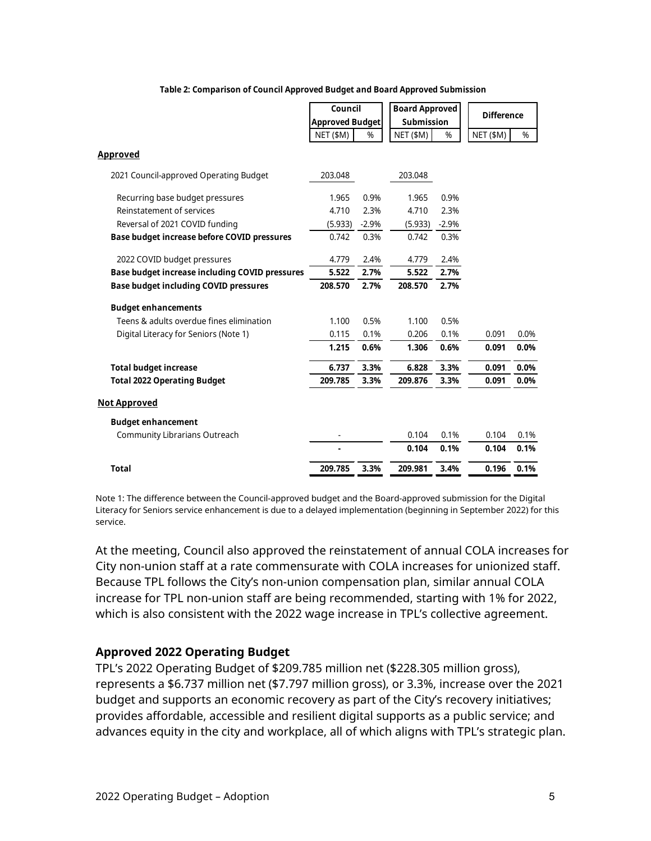|                                                | Council<br><b>Approved Budget</b> |         | <b>Board Approved</b><br><b>Submission</b> |         | <b>Difference</b> |      |  |
|------------------------------------------------|-----------------------------------|---------|--------------------------------------------|---------|-------------------|------|--|
|                                                |                                   |         |                                            |         |                   |      |  |
|                                                | NET (\$M)                         | %       | NET (\$M)                                  | %       | NET (\$M)         | %    |  |
| <b>Approved</b>                                |                                   |         |                                            |         |                   |      |  |
| 2021 Council-approved Operating Budget         | 203.048                           |         | 203.048                                    |         |                   |      |  |
| Recurring base budget pressures                | 1.965                             | 0.9%    | 1.965                                      | 0.9%    |                   |      |  |
| Reinstatement of services                      | 4.710                             | 2.3%    | 4.710                                      | 2.3%    |                   |      |  |
| Reversal of 2021 COVID funding                 | (5.933)                           | $-2.9%$ | (5.933)                                    | $-2.9%$ |                   |      |  |
| Base budget increase before COVID pressures    | 0.742                             | 0.3%    | 0.742                                      | 0.3%    |                   |      |  |
| 2022 COVID budget pressures                    | 4.779                             | 2.4%    | 4.779                                      | 2.4%    |                   |      |  |
| Base budget increase including COVID pressures | 5.522                             | 2.7%    | 5.522                                      | 2.7%    |                   |      |  |
| <b>Base budget including COVID pressures</b>   | 208.570                           | 2.7%    | 208.570                                    | 2.7%    |                   |      |  |
| <b>Budget enhancements</b>                     |                                   |         |                                            |         |                   |      |  |
| Teens & adults overdue fines elimination       | 1.100                             | 0.5%    | 1.100                                      | 0.5%    |                   |      |  |
| Digital Literacy for Seniors (Note 1)          | 0.115                             | 0.1%    | 0.206                                      | 0.1%    | 0.091             | 0.0% |  |
|                                                | 1.215                             | 0.6%    | 1.306                                      | 0.6%    | 0.091             | 0.0% |  |
| <b>Total budget increase</b>                   | 6.737                             | 3.3%    | 6.828                                      | 3.3%    | 0.091             | 0.0% |  |
| <b>Total 2022 Operating Budget</b>             | 209.785                           | 3.3%    | 209.876                                    | 3.3%    | 0.091             | 0.0% |  |
| <b>Not Approved</b>                            |                                   |         |                                            |         |                   |      |  |
| <b>Budget enhancement</b>                      |                                   |         |                                            |         |                   |      |  |
| Community Librarians Outreach                  |                                   |         | 0.104                                      | 0.1%    | 0.104             | 0.1% |  |
|                                                |                                   |         | 0.104                                      | 0.1%    | 0.104             | 0.1% |  |
| <b>Total</b>                                   | 209.785                           | 3.3%    | 209.981                                    | 3.4%    | 0.196             | 0.1% |  |

#### **Table 2: Comparison of Council Approved Budget and Board Approved Submission**

Note 1: The difference between the Council-approved budget and the Board-approved submission for the Digital Literacy for Seniors service enhancement is due to a delayed implementation (beginning in September 2022) for this service.

At the meeting, Council also approved the reinstatement of annual COLA increases for City non-union staff at a rate commensurate with COLA increases for unionized staff. Because TPL follows the City's non-union compensation plan, similar annual COLA increase for TPL non-union staff are being recommended, starting with 1% for 2022, which is also consistent with the 2022 wage increase in TPL's collective agreement.

#### **Approved 2022 Operating Budget**

TPL's 2022 Operating Budget of \$209.785 million net (\$228.305 million gross), represents a \$6.737 million net (\$7.797 million gross), or 3.3%, increase over the 2021 budget and supports an economic recovery as part of the City's recovery initiatives; provides affordable, accessible and resilient digital supports as a public service; and advances equity in the city and workplace, all of which aligns with TPL's strategic plan.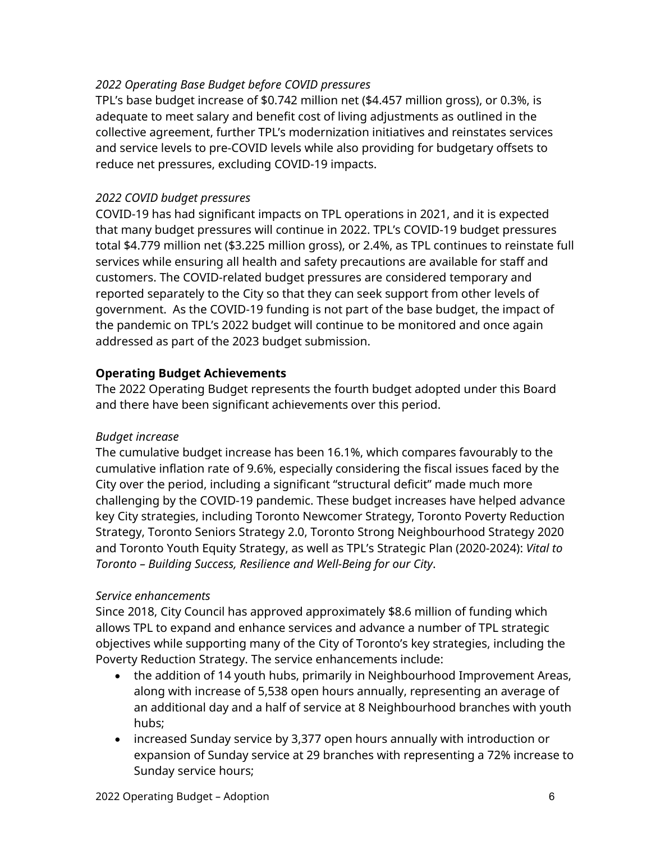#### *2022 Operating Base Budget before COVID pressures*

TPL's base budget increase of \$0.742 million net (\$4.457 million gross), or 0.3%, is adequate to meet salary and benefit cost of living adjustments as outlined in the collective agreement, further TPL's modernization initiatives and reinstates services and service levels to pre-COVID levels while also providing for budgetary offsets to reduce net pressures, excluding COVID-19 impacts.

#### *2022 COVID budget pressures*

COVID-19 has had significant impacts on TPL operations in 2021, and it is expected that many budget pressures will continue in 2022. TPL's COVID-19 budget pressures total \$4.779 million net (\$3.225 million gross), or 2.4%, as TPL continues to reinstate full services while ensuring all health and safety precautions are available for staff and customers. The COVID-related budget pressures are considered temporary and reported separately to the City so that they can seek support from other levels of government. As the COVID-19 funding is not part of the base budget, the impact of the pandemic on TPL's 2022 budget will continue to be monitored and once again addressed as part of the 2023 budget submission.

#### **Operating Budget Achievements**

The 2022 Operating Budget represents the fourth budget adopted under this Board and there have been significant achievements over this period.

#### *Budget increase*

The cumulative budget increase has been 16.1%, which compares favourably to the cumulative inflation rate of 9.6%, especially considering the fiscal issues faced by the City over the period, including a significant "structural deficit" made much more challenging by the COVID-19 pandemic. These budget increases have helped advance key City strategies, including Toronto Newcomer Strategy, Toronto Poverty Reduction Strategy, Toronto Seniors Strategy 2.0, Toronto Strong Neighbourhood Strategy 2020 and Toronto Youth Equity Strategy, as well as TPL's Strategic Plan (2020-2024): *Vital to Toronto – Building Success, Resilience and Well-Being for our City*.

#### *Service enhancements*

Since 2018, City Council has approved approximately \$8.6 million of funding which allows TPL to expand and enhance services and advance a number of TPL strategic objectives while supporting many of the City of Toronto's key strategies, including the Poverty Reduction Strategy. The service enhancements include:

- the addition of 14 youth hubs, primarily in Neighbourhood Improvement Areas, along with increase of 5,538 open hours annually, representing an average of an additional day and a half of service at 8 Neighbourhood branches with youth hubs;
- increased Sunday service by 3,377 open hours annually with introduction or expansion of Sunday service at 29 branches with representing a 72% increase to Sunday service hours;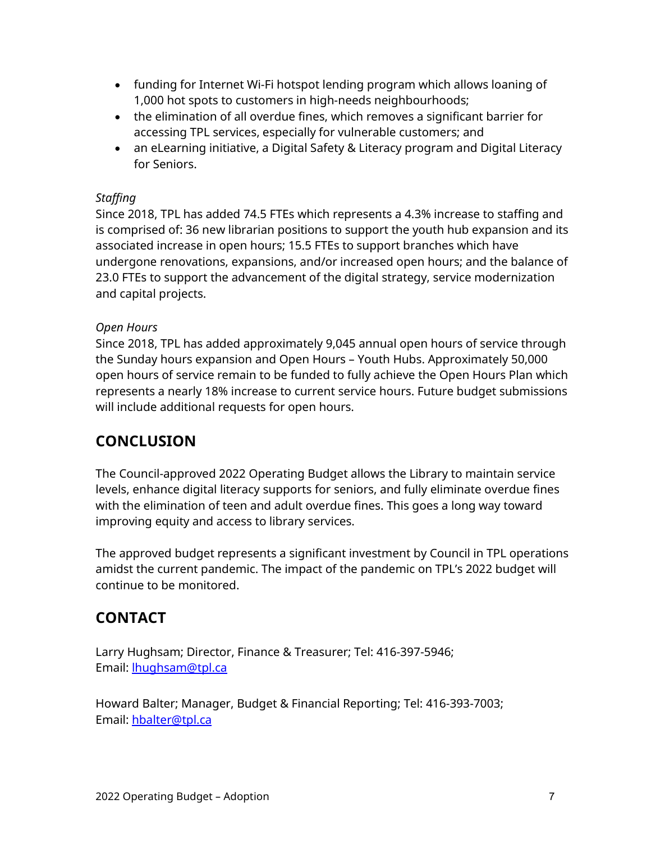- funding for Internet Wi-Fi hotspot lending program which allows loaning of 1,000 hot spots to customers in high-needs neighbourhoods;
- the elimination of all overdue fines, which removes a significant barrier for accessing TPL services, especially for vulnerable customers; and
- an eLearning initiative, a Digital Safety & Literacy program and Digital Literacy for Seniors.

#### *Staffing*

Since 2018, TPL has added 74.5 FTEs which represents a 4.3% increase to staffing and is comprised of: 36 new librarian positions to support the youth hub expansion and its associated increase in open hours; 15.5 FTEs to support branches which have undergone renovations, expansions, and/or increased open hours; and the balance of 23.0 FTEs to support the advancement of the digital strategy, service modernization and capital projects.

#### *Open Hours*

Since 2018, TPL has added approximately 9,045 annual open hours of service through the Sunday hours expansion and Open Hours – Youth Hubs. Approximately 50,000 open hours of service remain to be funded to fully achieve the Open Hours Plan which represents a nearly 18% increase to current service hours. Future budget submissions will include additional requests for open hours.

### **CONCLUSION**

The Council-approved 2022 Operating Budget allows the Library to maintain service levels, enhance digital literacy supports for seniors, and fully eliminate overdue fines with the elimination of teen and adult overdue fines. This goes a long way toward improving equity and access to library services.

The approved budget represents a significant investment by Council in TPL operations amidst the current pandemic. The impact of the pandemic on TPL's 2022 budget will continue to be monitored.

# **CONTACT**

Larry Hughsam; Director, Finance & Treasurer; Tel: 416-397-5946; Email: **hughsam@tpl.ca** 

Howard Balter; Manager, Budget & Financial Reporting; Tel: 416-393-7003; Email: [hbalter@tpl.ca](mailto:hbalter@tpl.ca)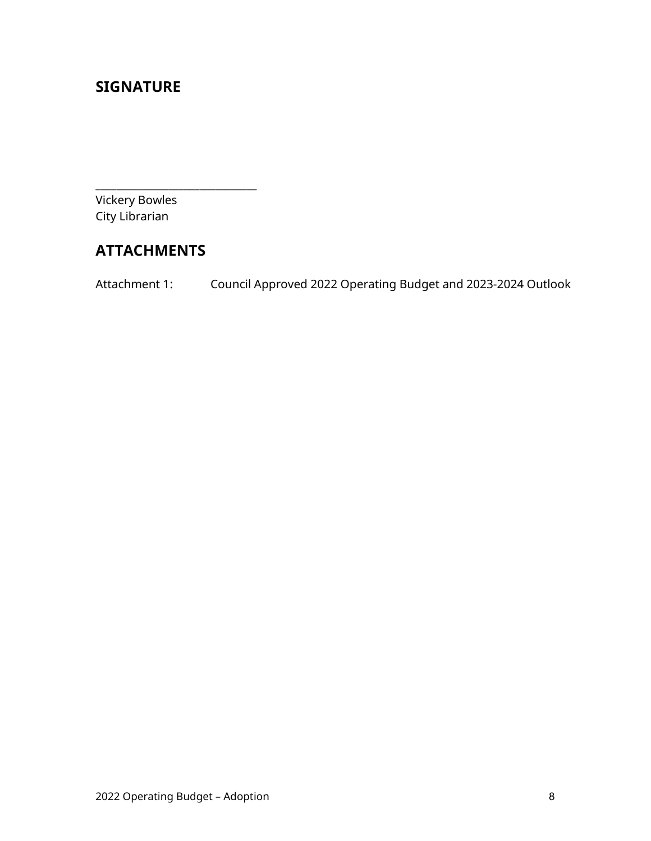### **SIGNATURE**

Vickery Bowles City Librarian

# **ATTACHMENTS**

\_\_\_\_\_\_\_\_\_\_\_\_\_\_\_\_\_\_\_\_\_\_\_\_\_\_\_\_\_\_\_

Attachment 1: Council Approved 2022 Operating Budget and 2023-2024 Outlook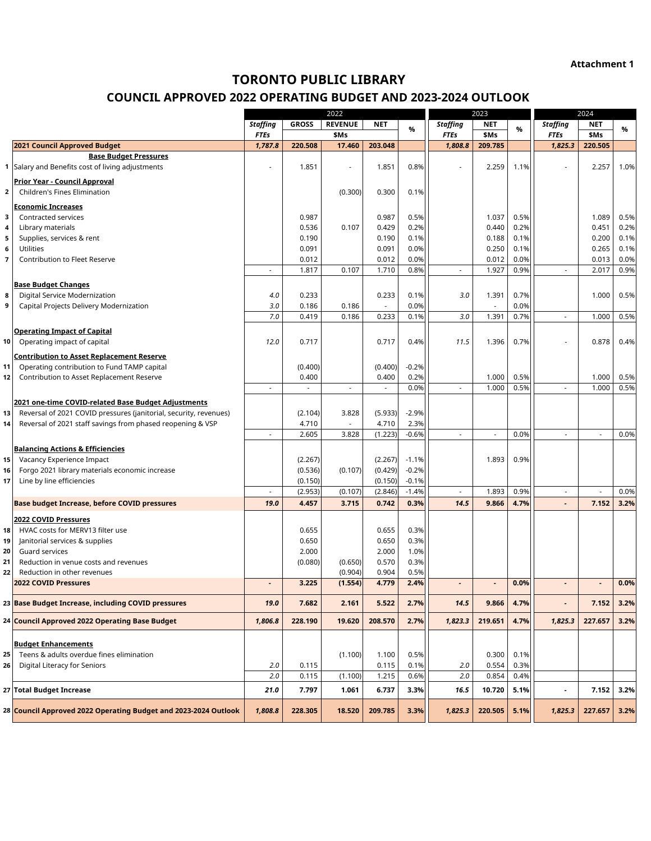**Attachment 1**

#### **TORONTO PUBLIC LIBRARY**

#### **COUNCIL APPROVED 2022 OPERATING BUDGET AND 2023-2024 OUTLOOK**

|                |                                                                             |                          |                          | 2022                     |                                   |                    |                          | 2023                              |              |                          | 2024           |              |
|----------------|-----------------------------------------------------------------------------|--------------------------|--------------------------|--------------------------|-----------------------------------|--------------------|--------------------------|-----------------------------------|--------------|--------------------------|----------------|--------------|
|                |                                                                             | <b>Staffing</b>          | <b>GROSS</b>             | <b>REVENUE</b>           | <b>NET</b>                        |                    | <b>Staffing</b>          | <b>NET</b>                        |              | <b>Staffing</b>          | <b>NET</b>     |              |
|                |                                                                             | <b>FTEs</b>              |                          | \$Ms                     |                                   | %                  | <b>FTEs</b>              | \$Ms                              | %            | <b>FTEs</b>              | \$Ms           | %            |
|                | 2021 Council Approved Budget                                                | 1,787.8                  | 220.508                  | 17.460                   | 203.048                           |                    | 1,808.8                  | 209.785                           |              | 1,825.3                  | 220.505        |              |
|                | <b>Base Budget Pressures</b>                                                |                          |                          |                          |                                   |                    |                          |                                   |              |                          |                |              |
|                | 1 Salary and Benefits cost of living adjustments                            | L,                       | 1.851                    |                          | 1.851                             | 0.8%               |                          | 2.259                             | 1.1%         |                          | 2.257          | 1.0%         |
|                | Prior Year - Council Approval                                               |                          |                          |                          |                                   |                    |                          |                                   |              |                          |                |              |
| $\overline{2}$ | <b>Children's Fines Elimination</b>                                         |                          |                          | (0.300)                  | 0.300                             | 0.1%               |                          |                                   |              |                          |                |              |
|                | <b>Economic Increases</b>                                                   |                          |                          |                          |                                   |                    |                          |                                   |              |                          |                |              |
| 3              | Contracted services                                                         |                          | 0.987                    |                          | 0.987                             | 0.5%               |                          | 1.037                             | 0.5%         |                          | 1.089          | 0.5%         |
| 4              | Library materials                                                           |                          | 0.536                    | 0.107                    | 0.429                             | 0.2%               |                          | 0.440                             | 0.2%         |                          | 0.451          | 0.2%         |
| 5              | Supplies, services & rent                                                   |                          | 0.190                    |                          | 0.190                             | 0.1%               |                          | 0.188                             | 0.1%         |                          | 0.200          | 0.1%         |
| 6              | <b>Utilities</b>                                                            |                          | 0.091                    |                          | 0.091                             | 0.0%               |                          | 0.250                             | 0.1%         |                          | 0.265          | 0.1%         |
| 7              | <b>Contribution to Fleet Reserve</b>                                        |                          | 0.012<br>1.817           | 0.107                    | 0.012<br>1.710                    | 0.0%<br>0.8%       | $\overline{\phantom{a}}$ | 0.012<br>1.927                    | 0.0%<br>0.9% | $\tilde{\phantom{a}}$    | 0.013<br>2.017 | 0.0%<br>0.9% |
|                |                                                                             |                          |                          |                          |                                   |                    |                          |                                   |              |                          |                |              |
|                | <b>Base Budget Changes</b>                                                  |                          |                          |                          |                                   |                    |                          |                                   |              |                          |                |              |
| 8              | Digital Service Modernization                                               | 4.0                      | 0.233                    |                          | 0.233                             | 0.1%               | 3.0                      | 1.391                             | 0.7%         |                          | 1.000          | 0.5%         |
| 9              | Capital Projects Delivery Modernization                                     | 3.0<br>7.0               | 0.186<br>0.419           | 0.186<br>0.186           | $\overline{\phantom{a}}$<br>0.233 | 0.0%<br>0.1%       | 3.0                      | $\overline{\phantom{a}}$<br>1.391 | 0.0%<br>0.7% |                          | 1.000          | 0.5%         |
|                |                                                                             |                          |                          |                          |                                   |                    |                          |                                   |              |                          |                |              |
|                | <b>Operating Impact of Capital</b>                                          |                          |                          |                          |                                   |                    |                          |                                   |              |                          |                |              |
| 10             | Operating impact of capital                                                 | 12.0                     | 0.717                    |                          | 0.717                             | 0.4%               | 11.5                     | 1.396                             | 0.7%         |                          | 0.878          | 0.4%         |
|                | <b>Contribution to Asset Replacement Reserve</b>                            |                          |                          |                          |                                   |                    |                          |                                   |              |                          |                |              |
| 11             | Operating contribution to Fund TAMP capital                                 |                          | (0.400)                  |                          | (0.400)                           | $-0.2%$            |                          |                                   |              |                          |                |              |
| 12             | Contribution to Asset Replacement Reserve                                   |                          | 0.400                    |                          | 0.400                             | 0.2%               |                          | 1.000                             | 0.5%         |                          | 1.000          | 0.5%         |
|                |                                                                             | $\overline{\phantom{a}}$ | $\overline{\phantom{a}}$ | $\blacksquare$           |                                   | 0.0%               | $\overline{\phantom{a}}$ | 1.000                             | 0.5%         | $\overline{\phantom{a}}$ | 1.000          | 0.5%         |
|                | 2021 one-time COVID-related Base Budget Adjustments                         |                          |                          |                          |                                   |                    |                          |                                   |              |                          |                |              |
| 13             | Reversal of 2021 COVID pressures (janitorial, security, revenues)           |                          | (2.104)                  | 3.828                    | (5.933)                           | $-2.9%$            |                          |                                   |              |                          |                |              |
| 14             | Reversal of 2021 staff savings from phased reopening & VSP                  |                          | 4.710                    | $\overline{\phantom{a}}$ | 4.710                             | 2.3%               |                          |                                   |              |                          |                |              |
|                |                                                                             | $\overline{\phantom{a}}$ | 2.605                    | 3.828                    | (1.223)                           | $-0.6%$            |                          |                                   | 0.0%         | $\overline{\phantom{a}}$ |                | 0.0%         |
|                | <b>Balancing Actions &amp; Efficiencies</b>                                 |                          |                          |                          |                                   |                    |                          |                                   |              |                          |                |              |
| 15             | Vacancy Experience Impact                                                   |                          | (2.267)                  |                          | (2.267)                           | $-1.1%$            |                          | 1.893                             | 0.9%         |                          |                |              |
| 16<br>17       | Forgo 2021 library materials economic increase<br>Line by line efficiencies |                          | (0.536)<br>(0.150)       | (0.107)                  | (0.429)<br>(0.150)                | $-0.2%$<br>$-0.1%$ |                          |                                   |              |                          |                |              |
|                |                                                                             | $\sim$                   | (2.953)                  | (0.107)                  | (2.846)                           | $-1.4%$            | $\overline{\phantom{a}}$ | 1.893                             | 0.9%         | $\overline{\phantom{a}}$ | $\overline{a}$ | 0.0%         |
|                | <b>Base budget Increase, before COVID pressures</b>                         | 19.0                     | 4.457                    | 3.715                    | 0.742                             | 0.3%               | 14.5                     | 9.866                             | 4.7%         | $\overline{\phantom{a}}$ | 7.152          | 3.2%         |
|                |                                                                             |                          |                          |                          |                                   |                    |                          |                                   |              |                          |                |              |
| 18             | 2022 COVID Pressures<br>HVAC costs for MERV13 filter use                    |                          | 0.655                    |                          | 0.655                             | 0.3%               |                          |                                   |              |                          |                |              |
| 19             | Janitorial services & supplies                                              |                          | 0.650                    |                          | 0.650                             | 0.3%               |                          |                                   |              |                          |                |              |
| 20             | Guard services                                                              |                          | 2.000                    |                          | 2.000                             | 1.0%               |                          |                                   |              |                          |                |              |
| 21             | Reduction in venue costs and revenues                                       |                          | (0.080)                  | (0.650)                  | 0.570                             | 0.3%               |                          |                                   |              |                          |                |              |
| 22             | Reduction in other revenues                                                 |                          |                          | (0.904)                  | 0.904                             | 0.5%               |                          |                                   |              |                          |                |              |
|                | <b>2022 COVID Pressures</b>                                                 |                          | 3.225                    | (1.554)                  | 4.779                             | 2.4%               |                          |                                   | 0.0%         |                          |                | 0.0%         |
|                | 23 Base Budget Increase, including COVID pressures                          | 19.0                     | 7.682                    | 2.161                    | 5.522                             | 2.7%               | 14.5                     | 9.866                             | 4.7%         |                          | 7.152          | 3.2%         |
|                | 24 Council Approved 2022 Operating Base Budget                              | 1,806.8                  | 228.190                  | 19.620                   | 208.570                           | 2.7%               | 1,823.3                  | 219.651                           | 4.7%         | 1,825.3                  | 227.657        | 3.2%         |
|                |                                                                             |                          |                          |                          |                                   |                    |                          |                                   |              |                          |                |              |
|                | <b>Budget Enhancements</b>                                                  |                          |                          |                          |                                   |                    |                          |                                   |              |                          |                |              |
| 25             | Teens & adults overdue fines elimination                                    |                          |                          | (1.100)                  | 1.100                             | 0.5%               |                          | 0.300                             | 0.1%         |                          |                |              |
| 26             | Digital Literacy for Seniors                                                | 2.0                      | 0.115                    |                          | 0.115                             | 0.1%               | 2.0                      | 0.554                             | 0.3%         |                          |                |              |
|                |                                                                             | 2.0                      | 0.115                    | (1.100)                  | 1.215                             | 0.6%               | 2.0                      | 0.854                             | 0.4%         |                          |                |              |
|                | 27 Total Budget Increase                                                    | 21.0                     | 7.797                    | 1.061                    | 6.737                             | 3.3%               | 16.5                     | 10.720                            | 5.1%         | $\tilde{\phantom{a}}$    | 7.152          | 3.2%         |
|                | 28 Council Approved 2022 Operating Budget and 2023-2024 Outlook             | 1,808.8                  | 228.305                  | 18.520                   | 209.785                           | 3.3%               | 1,825.3                  | 220.505                           | 5.1%         | 1,825.3                  | 227.657        | 3.2%         |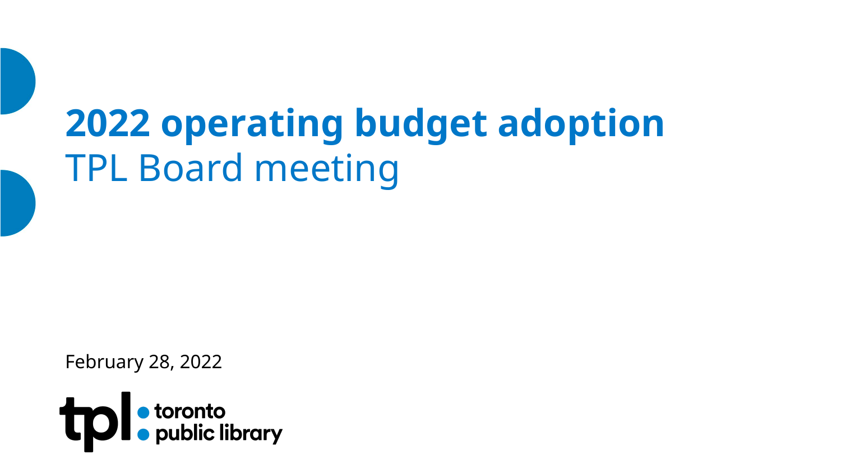# **2022 operating budget adoption** TPL Board meeting

February 28, 2022

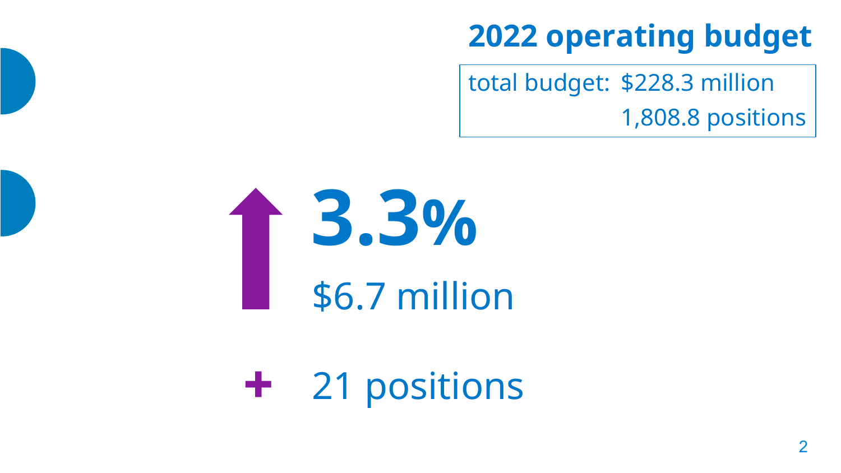# **2022 operating budget**

total budget: \$228.3 million 1,808.8 positions



**+** 21 positions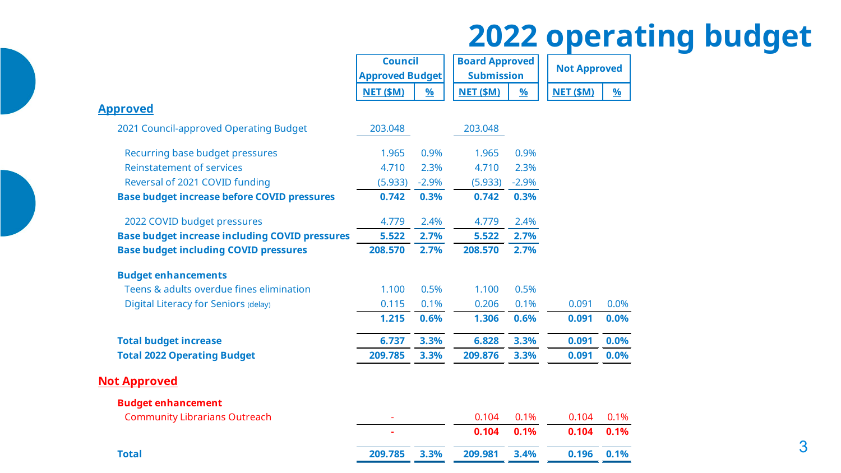# **2022 operating budget**

|                                                       |                        | <b>Council</b><br><b>Board Approved</b> |                   |          | <b>Not Approved</b> |          |  |
|-------------------------------------------------------|------------------------|-----------------------------------------|-------------------|----------|---------------------|----------|--|
|                                                       | <b>Approved Budget</b> |                                         | <b>Submission</b> |          |                     |          |  |
|                                                       | <b>NET (\$M)</b>       | %                                       | <b>NET (\$M)</b>  | <u>%</u> | <b>NET (\$M)</b>    | <u>%</u> |  |
| <b>Approved</b>                                       |                        |                                         |                   |          |                     |          |  |
| 2021 Council-approved Operating Budget                | 203.048                |                                         | 203.048           |          |                     |          |  |
| Recurring base budget pressures                       | 1.965                  | 0.9%                                    | 1.965             | 0.9%     |                     |          |  |
| <b>Reinstatement of services</b>                      | 4.710                  | 2.3%                                    | 4.710             | 2.3%     |                     |          |  |
| Reversal of 2021 COVID funding                        | (5.933)                | $-2.9%$                                 | (5.933)           | $-2.9%$  |                     |          |  |
| <b>Base budget increase before COVID pressures</b>    | 0.742                  | 0.3%                                    | 0.742             | 0.3%     |                     |          |  |
| 2022 COVID budget pressures                           | 4.779                  | 2.4%                                    | 4.779             | 2.4%     |                     |          |  |
| <b>Base budget increase including COVID pressures</b> | 5.522                  | 2.7%                                    | 5.522             | 2.7%     |                     |          |  |
| <b>Base budget including COVID pressures</b>          | 208.570                | 2.7%                                    | 208.570           | 2.7%     |                     |          |  |
| <b>Budget enhancements</b>                            |                        |                                         |                   |          |                     |          |  |
| Teens & adults overdue fines elimination              | 1.100                  | 0.5%                                    | 1.100             | 0.5%     |                     |          |  |
| Digital Literacy for Seniors (delay)                  | 0.115                  | 0.1%                                    | 0.206             | 0.1%     | 0.091               | 0.0%     |  |
|                                                       | 1.215                  | 0.6%                                    | 1.306             | 0.6%     | 0.091               | 0.0%     |  |
| <b>Total budget increase</b>                          | 6.737                  | 3.3%                                    | 6.828             | 3.3%     | 0.091               | 0.0%     |  |
| <b>Total 2022 Operating Budget</b>                    | 209.785                | 3.3%                                    | 209.876           | 3.3%     | 0.091               | 0.0%     |  |
| <b>Not Approved</b>                                   |                        |                                         |                   |          |                     |          |  |
| <b>Budget enhancement</b>                             |                        |                                         |                   |          |                     |          |  |
| <b>Community Librarians Outreach</b>                  |                        |                                         | 0.104             | 0.1%     | 0.104               | 0.1%     |  |
|                                                       |                        |                                         | 0.104             | 0.1%     | 0.104               | 0.1%     |  |
| <b>Total</b>                                          | 209.785                | 3.3%                                    | 209.981           | 3.4%     | 0.196               | 0.1%     |  |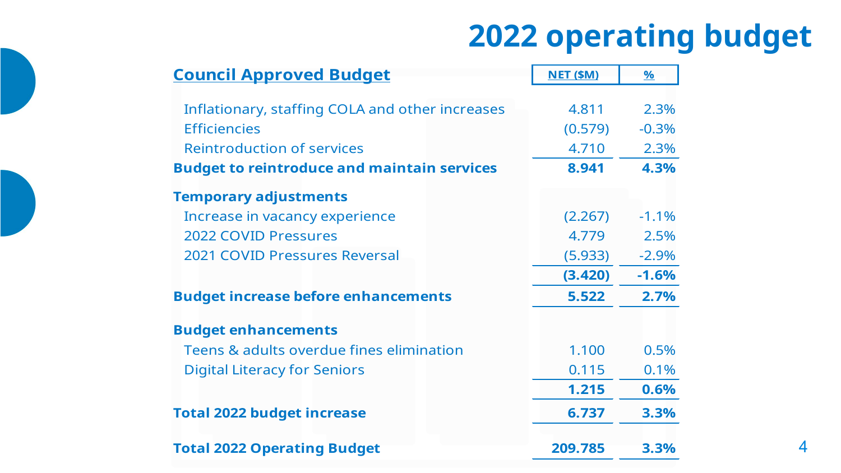# **2022 operating budget**

| <b>Council Approved Budget</b>                     | <b>NET (\$M)</b> | $\%$    |
|----------------------------------------------------|------------------|---------|
|                                                    |                  |         |
| Inflationary, staffing COLA and other increases    | 4.811            | 2.3%    |
| <b>Efficiencies</b>                                | (0.579)          | $-0.3%$ |
| <b>Reintroduction of services</b>                  | 4.710            | 2.3%    |
| <b>Budget to reintroduce and maintain services</b> | 8.941            | 4.3%    |
| <b>Temporary adjustments</b>                       |                  |         |
| Increase in vacancy experience                     | (2.267)          | $-1.1%$ |
| <b>2022 COVID Pressures</b>                        | 4.779            | 2.5%    |
| 2021 COVID Pressures Reversal                      | (5.933)          | $-2.9%$ |
|                                                    | (3.420)          | $-1.6%$ |
| <b>Budget increase before enhancements</b>         | 5.522            | 2.7%    |
| <b>Budget enhancements</b>                         |                  |         |
| Teens & adults overdue fines elimination           | 1.100            | 0.5%    |
| <b>Digital Literacy for Seniors</b>                | 0.115            | 0.1%    |
|                                                    | 1.215            | 0.6%    |
| <b>Total 2022 budget increase</b>                  | 6.737            | 3.3%    |
| <b>Total 2022 Operating Budget</b>                 | 209.785          | 3.3%    |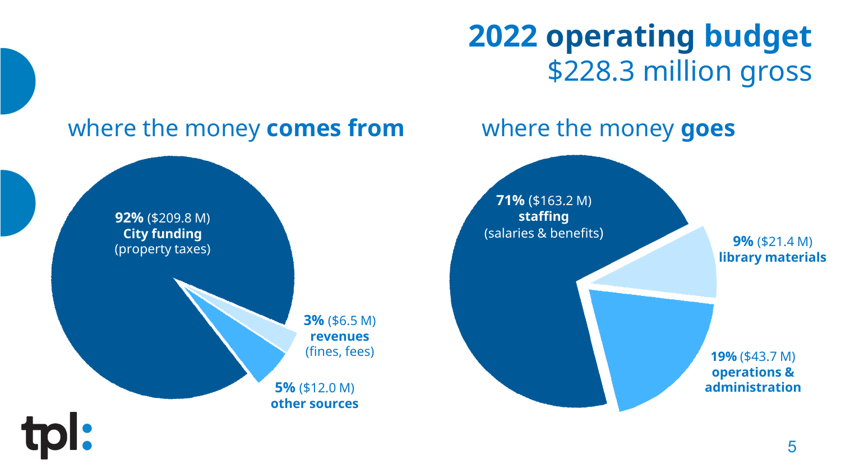# **2022 operating budget** \$228.3 million gross

# where the money **comes from** where the money **goes**